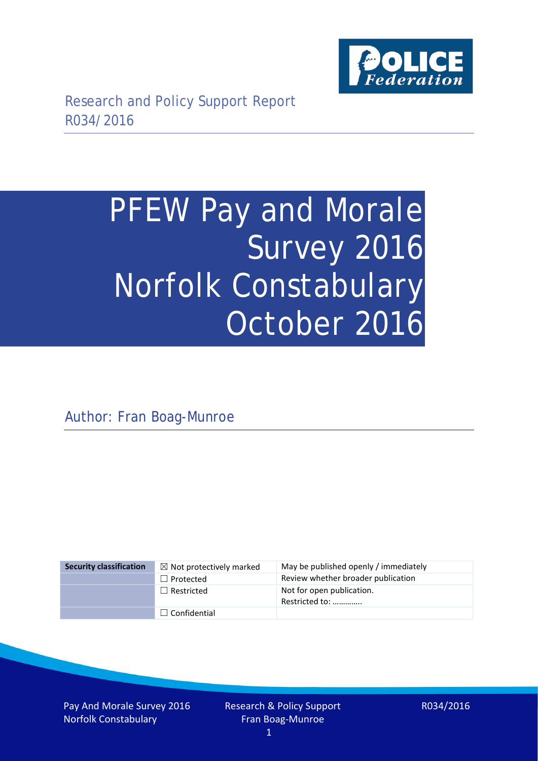

# PFEW Pay and Morale Survey 2016 Norfolk Constabulary October 2016

Author: Fran Boag-Munroe

| <b>Security classification</b> | $\boxtimes$ Not protectively marked | May be published openly / immediately       |
|--------------------------------|-------------------------------------|---------------------------------------------|
|                                | $\Box$ Protected                    | Review whether broader publication          |
|                                | $\Box$ Restricted                   | Not for open publication.<br>Restricted to: |
|                                | $\Box$ Confidential                 |                                             |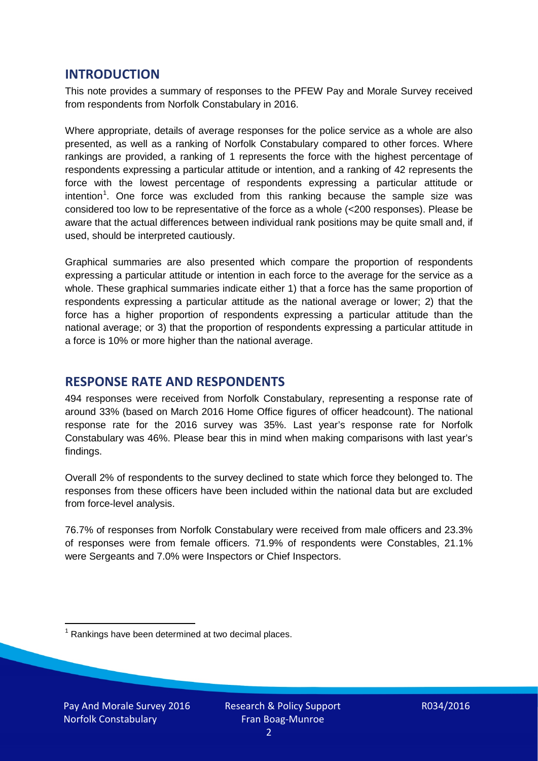## **INTRODUCTION**

This note provides a summary of responses to the PFEW Pay and Morale Survey received from respondents from Norfolk Constabulary in 2016.

Where appropriate, details of average responses for the police service as a whole are also presented, as well as a ranking of Norfolk Constabulary compared to other forces. Where rankings are provided, a ranking of 1 represents the force with the highest percentage of respondents expressing a particular attitude or intention, and a ranking of 42 represents the force with the lowest percentage of respondents expressing a particular attitude or intention<sup>[1](#page-1-0)</sup>. One force was excluded from this ranking because the sample size was considered too low to be representative of the force as a whole (<200 responses). Please be aware that the actual differences between individual rank positions may be quite small and, if used, should be interpreted cautiously.

Graphical summaries are also presented which compare the proportion of respondents expressing a particular attitude or intention in each force to the average for the service as a whole. These graphical summaries indicate either 1) that a force has the same proportion of respondents expressing a particular attitude as the national average or lower; 2) that the force has a higher proportion of respondents expressing a particular attitude than the national average; or 3) that the proportion of respondents expressing a particular attitude in a force is 10% or more higher than the national average.

## **RESPONSE RATE AND RESPONDENTS**

494 responses were received from Norfolk Constabulary, representing a response rate of around 33% (based on March 2016 Home Office figures of officer headcount). The national response rate for the 2016 survey was 35%. Last year's response rate for Norfolk Constabulary was 46%. Please bear this in mind when making comparisons with last year's findings.

Overall 2% of respondents to the survey declined to state which force they belonged to. The responses from these officers have been included within the national data but are excluded from force-level analysis.

76.7% of responses from Norfolk Constabulary were received from male officers and 23.3% of responses were from female officers. 71.9% of respondents were Constables, 21.1% were Sergeants and 7.0% were Inspectors or Chief Inspectors.

<span id="page-1-0"></span> $1$  Rankings have been determined at two decimal places.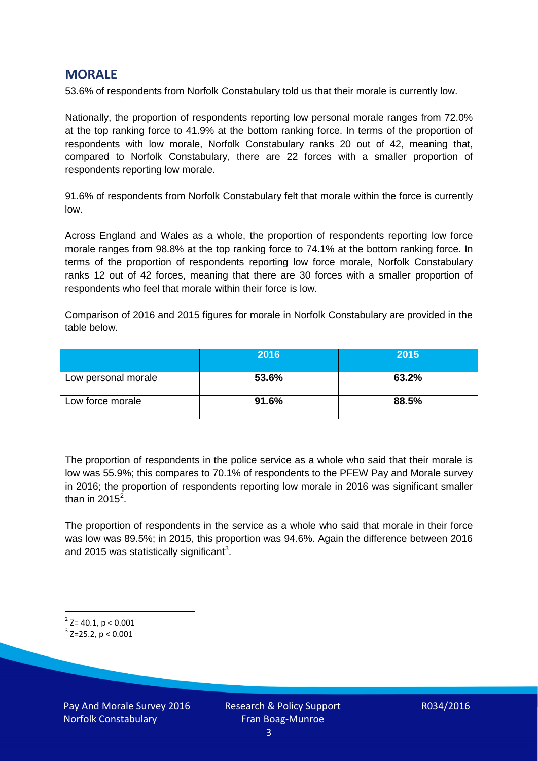## **MORALE**

53.6% of respondents from Norfolk Constabulary told us that their morale is currently low.

Nationally, the proportion of respondents reporting low personal morale ranges from 72.0% at the top ranking force to 41.9% at the bottom ranking force. In terms of the proportion of respondents with low morale, Norfolk Constabulary ranks 20 out of 42, meaning that, compared to Norfolk Constabulary, there are 22 forces with a smaller proportion of respondents reporting low morale.

91.6% of respondents from Norfolk Constabulary felt that morale within the force is currently low.

Across England and Wales as a whole, the proportion of respondents reporting low force morale ranges from 98.8% at the top ranking force to 74.1% at the bottom ranking force. In terms of the proportion of respondents reporting low force morale, Norfolk Constabulary ranks 12 out of 42 forces, meaning that there are 30 forces with a smaller proportion of respondents who feel that morale within their force is low.

Comparison of 2016 and 2015 figures for morale in Norfolk Constabulary are provided in the table below.

|                     | 2016  | 2015  |
|---------------------|-------|-------|
| Low personal morale | 53.6% | 63.2% |
| Low force morale    | 91.6% | 88.5% |

The proportion of respondents in the police service as a whole who said that their morale is low was 55.9%; this compares to 70.1% of respondents to the PFEW Pay and Morale survey in 2016; the proportion of respondents reporting low morale in 2016 was significant smaller than in [2](#page-2-0)015 $^2$ .

The proportion of respondents in the service as a whole who said that morale in their force was low was 89.5%; in 2015, this proportion was 94.6%. Again the difference between 2016 and 2015 was statistically significant<sup>[3](#page-2-1)</sup>.

<span id="page-2-0"></span> $2$ <sup>2</sup> Z= 40.1, p < 0.001

<span id="page-2-1"></span> $3$  Z=25.2, p < 0.001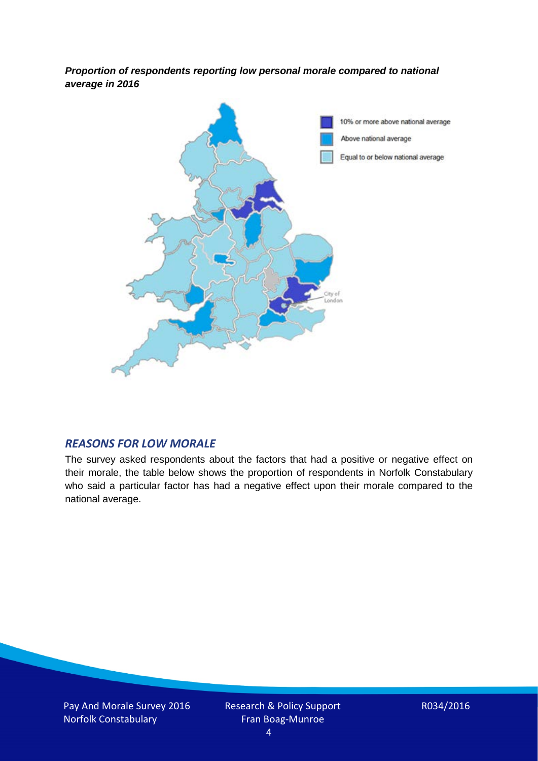*Proportion of respondents reporting low personal morale compared to national average in 2016*



#### *REASONS FOR LOW MORALE*

The survey asked respondents about the factors that had a positive or negative effect on their morale, the table below shows the proportion of respondents in Norfolk Constabulary who said a particular factor has had a negative effect upon their morale compared to the national average.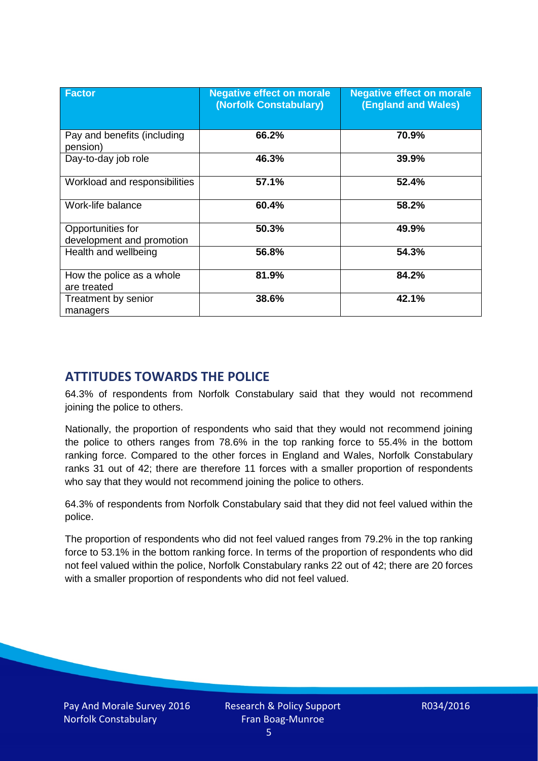| <b>Factor</b>                                  | <b>Negative effect on morale</b><br>(Norfolk Constabulary) | <b>Negative effect on morale</b><br><b>(England and Wales)</b> |
|------------------------------------------------|------------------------------------------------------------|----------------------------------------------------------------|
| Pay and benefits (including<br>pension)        | 66.2%                                                      | 70.9%                                                          |
| Day-to-day job role                            | 46.3%                                                      | 39.9%                                                          |
| Workload and responsibilities                  | 57.1%                                                      | 52.4%                                                          |
| Work-life balance                              | 60.4%                                                      | 58.2%                                                          |
| Opportunities for<br>development and promotion | 50.3%                                                      | 49.9%                                                          |
| Health and wellbeing                           | 56.8%                                                      | 54.3%                                                          |
| How the police as a whole<br>are treated       | 81.9%                                                      | 84.2%                                                          |
| Treatment by senior<br>managers                | 38.6%                                                      | 42.1%                                                          |

# **ATTITUDES TOWARDS THE POLICE**

64.3% of respondents from Norfolk Constabulary said that they would not recommend joining the police to others.

Nationally, the proportion of respondents who said that they would not recommend joining the police to others ranges from 78.6% in the top ranking force to 55.4% in the bottom ranking force. Compared to the other forces in England and Wales, Norfolk Constabulary ranks 31 out of 42; there are therefore 11 forces with a smaller proportion of respondents who say that they would not recommend joining the police to others.

64.3% of respondents from Norfolk Constabulary said that they did not feel valued within the police.

The proportion of respondents who did not feel valued ranges from 79.2% in the top ranking force to 53.1% in the bottom ranking force. In terms of the proportion of respondents who did not feel valued within the police, Norfolk Constabulary ranks 22 out of 42; there are 20 forces with a smaller proportion of respondents who did not feel valued.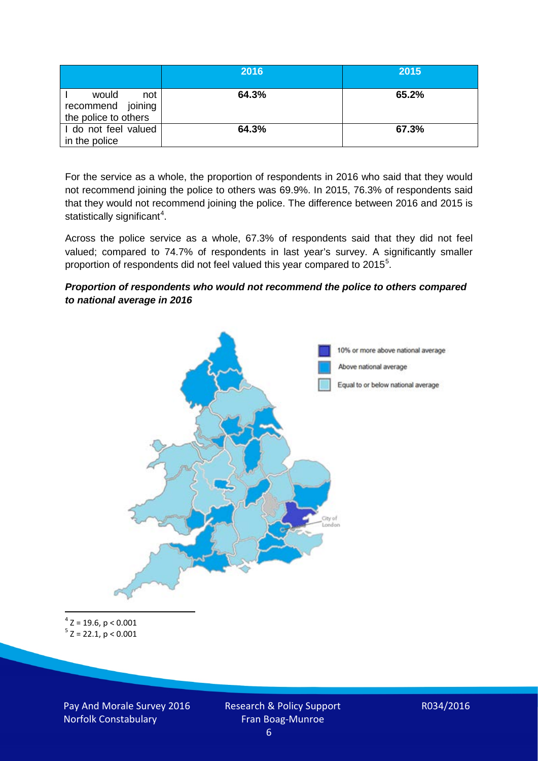|                                                           | 2016  | 2015  |
|-----------------------------------------------------------|-------|-------|
| would<br>not<br>recommend joining<br>the police to others | 64.3% | 65.2% |
| I do not feel valued<br>in the police                     | 64.3% | 67.3% |

For the service as a whole, the proportion of respondents in 2016 who said that they would not recommend joining the police to others was 69.9%. In 2015, 76.3% of respondents said that they would not recommend joining the police. The difference between 2016 and 2015 is statistically significant<sup>[4](#page-5-0)</sup>.

Across the police service as a whole, 67.3% of respondents said that they did not feel valued; compared to 74.7% of respondents in last year's survey. A significantly smaller proportion of respondents did not feel valued this year compared to 201[5](#page-5-1)<sup>5</sup>.

#### *Proportion of respondents who would not recommend the police to others compared to national average in 2016*



<span id="page-5-1"></span><span id="page-5-0"></span> $4$  Z = 19.6, p < 0.001  $5$  Z = 22.1, p < 0.001

Pay And Morale Survey 2016 Norfolk Constabulary

Research & Policy Support Fran Boag-Munroe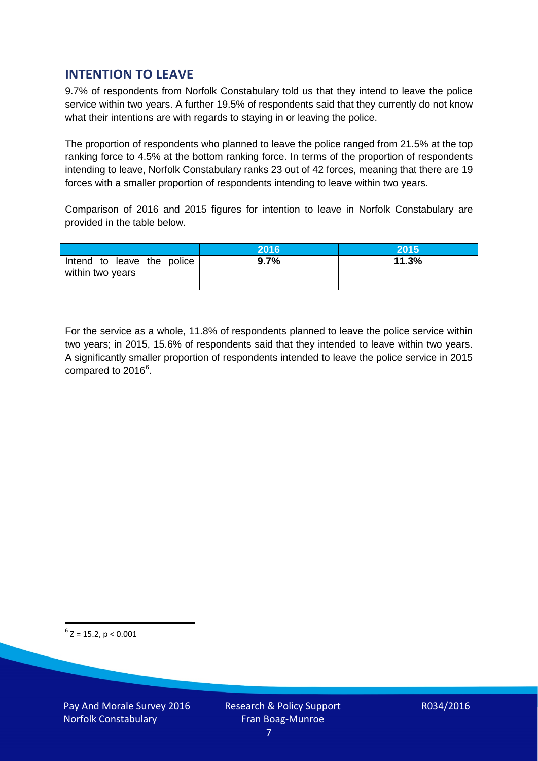# **INTENTION TO LEAVE**

9.7% of respondents from Norfolk Constabulary told us that they intend to leave the police service within two years. A further 19.5% of respondents said that they currently do not know what their intentions are with regards to staying in or leaving the police.

The proportion of respondents who planned to leave the police ranged from 21.5% at the top ranking force to 4.5% at the bottom ranking force. In terms of the proportion of respondents intending to leave, Norfolk Constabulary ranks 23 out of 42 forces, meaning that there are 19 forces with a smaller proportion of respondents intending to leave within two years.

Comparison of 2016 and 2015 figures for intention to leave in Norfolk Constabulary are provided in the table below.

|                                                | 2016 | 2015  |
|------------------------------------------------|------|-------|
| Intend to leave the police<br>within two years | 9.7% | 11.3% |

For the service as a whole, 11.8% of respondents planned to leave the police service within two years; in 2015, 15.6% of respondents said that they intended to leave within two years. A significantly smaller proportion of respondents intended to leave the police service in 2015 compared to 201[6](#page-6-0)<sup>6</sup>.

<span id="page-6-0"></span> $6$  Z = 15.2, p < 0.001

Pay And Morale Survey 2016 Norfolk Constabulary

Research & Policy Support Fran Boag-Munroe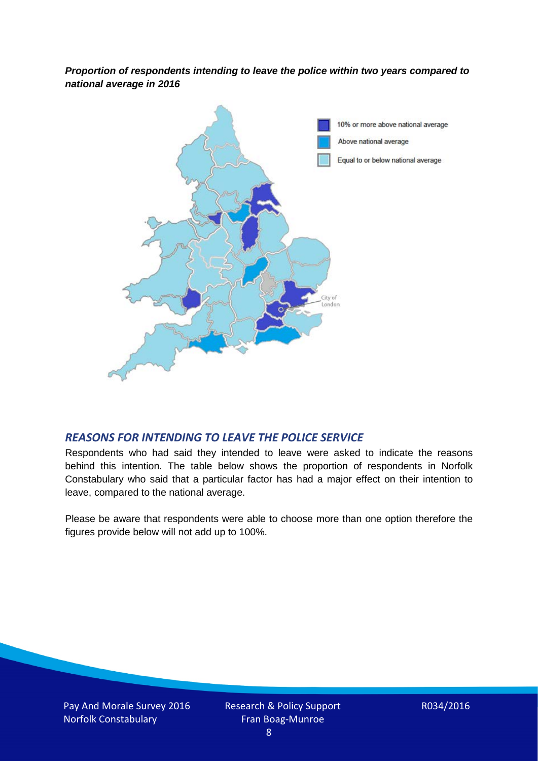*Proportion of respondents intending to leave the police within two years compared to national average in 2016*



### *REASONS FOR INTENDING TO LEAVE THE POLICE SERVICE*

Respondents who had said they intended to leave were asked to indicate the reasons behind this intention. The table below shows the proportion of respondents in Norfolk Constabulary who said that a particular factor has had a major effect on their intention to leave, compared to the national average.

Please be aware that respondents were able to choose more than one option therefore the figures provide below will not add up to 100%.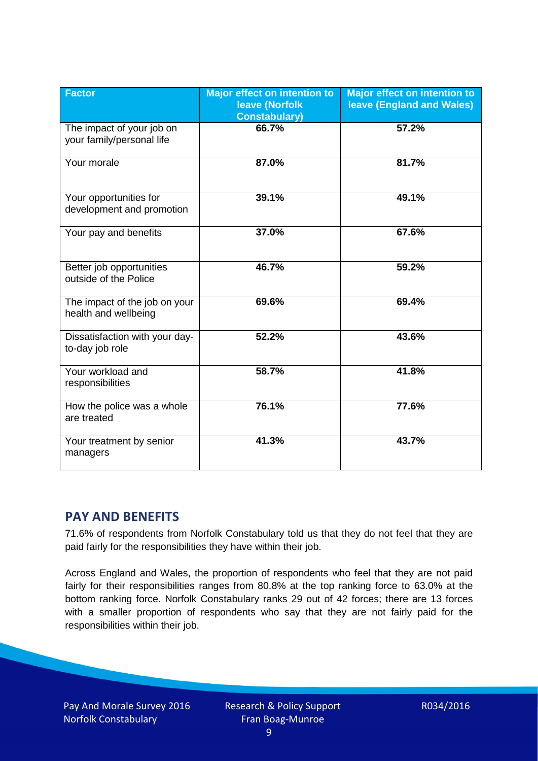| <b>Factor</b>                                          | <b>Major effect on intention to</b><br><b>leave (Norfolk</b><br><b>Constabulary)</b> | <b>Major effect on intention to</b><br>leave (England and Wales) |
|--------------------------------------------------------|--------------------------------------------------------------------------------------|------------------------------------------------------------------|
| The impact of your job on<br>your family/personal life | 66.7%                                                                                | 57.2%                                                            |
| Your morale                                            | 87.0%                                                                                | 81.7%                                                            |
| Your opportunities for<br>development and promotion    | 39.1%                                                                                | 49.1%                                                            |
| Your pay and benefits                                  | 37.0%                                                                                | 67.6%                                                            |
| Better job opportunities<br>outside of the Police      | 46.7%                                                                                | 59.2%                                                            |
| The impact of the job on your<br>health and wellbeing  | 69.6%                                                                                | 69.4%                                                            |
| Dissatisfaction with your day-<br>to-day job role      | 52.2%                                                                                | 43.6%                                                            |
| Your workload and<br>responsibilities                  | 58.7%                                                                                | 41.8%                                                            |
| How the police was a whole<br>are treated              | 76.1%                                                                                | 77.6%                                                            |
| Your treatment by senior<br>managers                   | 41.3%                                                                                | 43.7%                                                            |

# **PAY AND BENEFITS**

71.6% of respondents from Norfolk Constabulary told us that they do not feel that they are paid fairly for the responsibilities they have within their job.

Across England and Wales, the proportion of respondents who feel that they are not paid fairly for their responsibilities ranges from 80.8% at the top ranking force to 63.0% at the bottom ranking force. Norfolk Constabulary ranks 29 out of 42 forces; there are 13 forces with a smaller proportion of respondents who say that they are not fairly paid for the responsibilities within their job.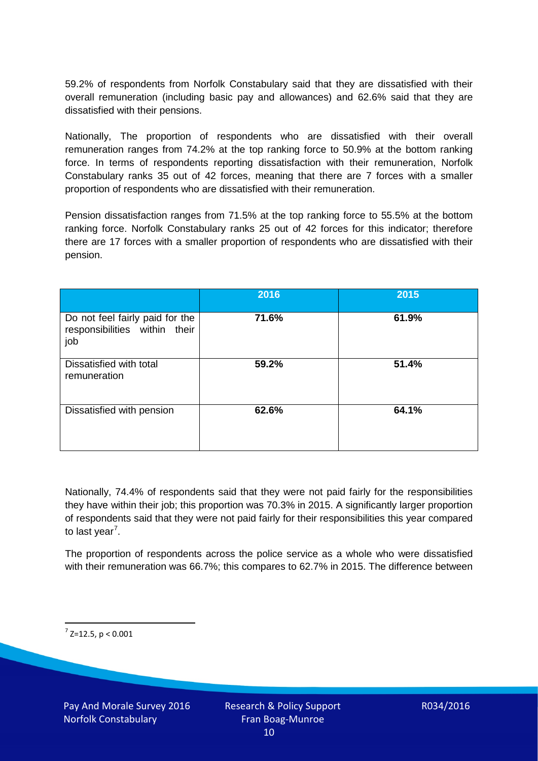59.2% of respondents from Norfolk Constabulary said that they are dissatisfied with their overall remuneration (including basic pay and allowances) and 62.6% said that they are dissatisfied with their pensions.

Nationally, The proportion of respondents who are dissatisfied with their overall remuneration ranges from 74.2% at the top ranking force to 50.9% at the bottom ranking force. In terms of respondents reporting dissatisfaction with their remuneration, Norfolk Constabulary ranks 35 out of 42 forces, meaning that there are 7 forces with a smaller proportion of respondents who are dissatisfied with their remuneration.

Pension dissatisfaction ranges from 71.5% at the top ranking force to 55.5% at the bottom ranking force. Norfolk Constabulary ranks 25 out of 42 forces for this indicator; therefore there are 17 forces with a smaller proportion of respondents who are dissatisfied with their pension.

|                                                                         | 2016  | 2015  |
|-------------------------------------------------------------------------|-------|-------|
| Do not feel fairly paid for the<br>responsibilities within their<br>job | 71.6% | 61.9% |
| Dissatisfied with total<br>remuneration                                 | 59.2% | 51.4% |
| Dissatisfied with pension                                               | 62.6% | 64.1% |

Nationally, 74.4% of respondents said that they were not paid fairly for the responsibilities they have within their job; this proportion was 70.3% in 2015. A significantly larger proportion of respondents said that they were not paid fairly for their responsibilities this year compared to last year<sup>[7](#page-9-0)</sup>.

The proportion of respondents across the police service as a whole who were dissatisfied with their remuneration was 66.7%; this compares to 62.7% in 2015. The difference between

<span id="page-9-0"></span> $7$  Z=12.5, p < 0.001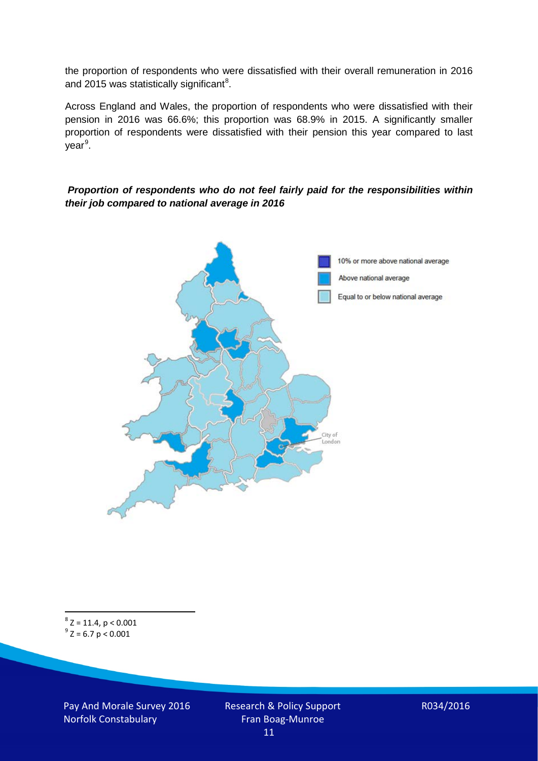the proportion of respondents who were dissatisfied with their overall remuneration in 2016 and 2015 was statistically significant<sup>[8](#page-10-0)</sup>.

Across England and Wales, the proportion of respondents who were dissatisfied with their pension in 2016 was 66.6%; this proportion was 68.9% in 2015. A significantly smaller proportion of respondents were dissatisfied with their pension this year compared to last year<sup>[9](#page-10-1)</sup>.

#### *Proportion of respondents who do not feel fairly paid for the responsibilities within their job compared to national average in 2016*



<span id="page-10-1"></span><span id="page-10-0"></span> $8$  Z = 11.4, p < 0.001  $9^{\circ}$  Z = 6.7 p < 0.001